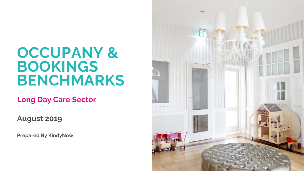## **OCCUPANY & BOOKINGS BENCHMARKS**

**Long Day Care Sector**

**August 2019**

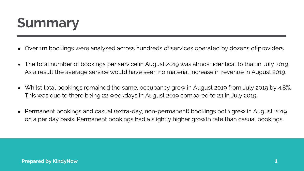## **Summary**

- Over 1m bookings were analysed across hundreds of services operated by dozens of providers.
- The total number of bookings per service in August 2019 was almost identical to that in July 2019.  $\bullet$ As a result the average service would have seen no material increase in revenue in August 2019.
- Whilst total bookings remained the same, occupancy grew in August 2019 from July 2019 by 4.8%. This was due to there being 22 weekdays in August 2019 compared to 23 in July 2019.
- Permanent bookings and casual (extra-day, non-permanent) bookings both grew in August 2019 on a per day basis. Permanent bookings had a slightly higher growth rate than casual bookings.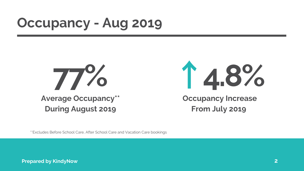## **Occupancy - Aug 2019**



## **Occupancy Increase From July 2019 77%** ↑**4.8%**

\*\*Excludes Before School Care, After School Care and Vacation Care bookings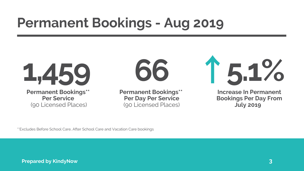## **Permanent Bookings - Aug 2019**

**Permanent Bookings\*\* Per Service** (90 Licensed Places)



**Permanent Bookings\*\* Per Day Per Service** (90 Licensed Places)



\*\*Excludes Before School Care, After School Care and Vacation Care bookings

# **66** ↑**5.1%**

### **Increase In Permanent Bookings Per Day From July 2019**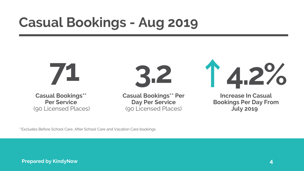## **Casual Bookings - Aug 2019**



\*\*Excludes Before School Care, After School Care and Vacation Care bookings

**4**

**Casual Bookings\*\* Per Service** (90 Licensed Places)



**Casual Bookings\*\* Per Day Per Service** (90 Licensed Places)

## ↑**4.2% Increase In Casual Bookings Per Day From July 2019**